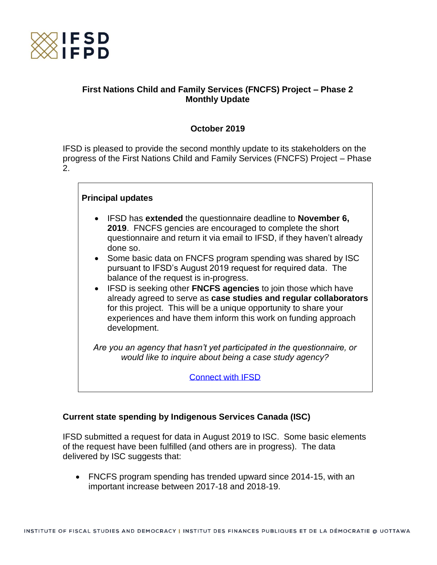

# **First Nations Child and Family Services (FNCFS) Project – Phase 2 Monthly Update**

# **October 2019**

IFSD is pleased to provide the second monthly update to its stakeholders on the progress of the First Nations Child and Family Services (FNCFS) Project – Phase 2.

## **Principal updates**

- IFSD has **extended** the questionnaire deadline to **November 6, 2019**. FNCFS gencies are encouraged to complete the short questionnaire and return it via email to IFSD, if they haven't already done so.
- Some basic data on FNCFS program spending was shared by ISC pursuant to IFSD's August 2019 request for required data. The balance of the request is in-progress.
- IFSD is seeking other **FNCFS agencies** to join those which have already agreed to serve as **case studies and regular collaborators** for this project. This will be a unique opportunity to share your experiences and have them inform this work on funding approach development.

*Are you an agency that hasn't yet participated in the questionnaire, or would like to inquire about being a case study agency?*

[Connect with IFSD](mailto:helaina.gaspard@ifsd.ca)

## **Current state spending by Indigenous Services Canada (ISC)**

IFSD submitted a request for data in August 2019 to ISC. Some basic elements of the request have been fulfilled (and others are in progress). The data delivered by ISC suggests that:

• FNCFS program spending has trended upward since 2014-15, with an important increase between 2017-18 and 2018-19.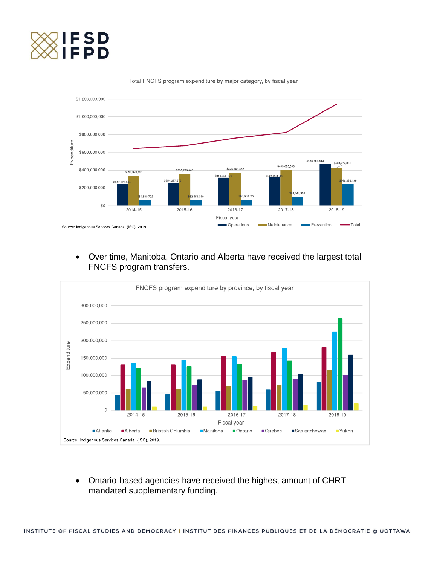



Total FNCFS program expenditure by major category, by fiscal year

• Over time, Manitoba, Ontario and Alberta have received the largest total FNCFS program transfers.



• Ontario-based agencies have received the highest amount of CHRTmandated supplementary funding.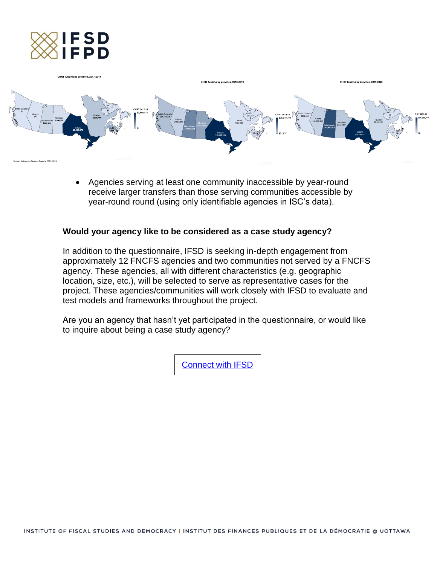



• Agencies serving at least one community inaccessible by year-round receive larger transfers than those serving communities accessible by year-round round (using only identifiable agencies in ISC's data).

#### **Would your agency like to be considered as a case study agency?**

In addition to the questionnaire, IFSD is seeking in-depth engagement from approximately 12 FNCFS agencies and two communities not served by a FNCFS agency. These agencies, all with different characteristics (e.g. geographic location, size, etc.), will be selected to serve as representative cases for the project. These agencies/communities will work closely with IFSD to evaluate and test models and frameworks throughout the project.

Are you an agency that hasn't yet participated in the questionnaire, or would like to inquire about being a case study agency?

[Connect with IFSD](mailto:helaina.gaspard@ifsd.ca)